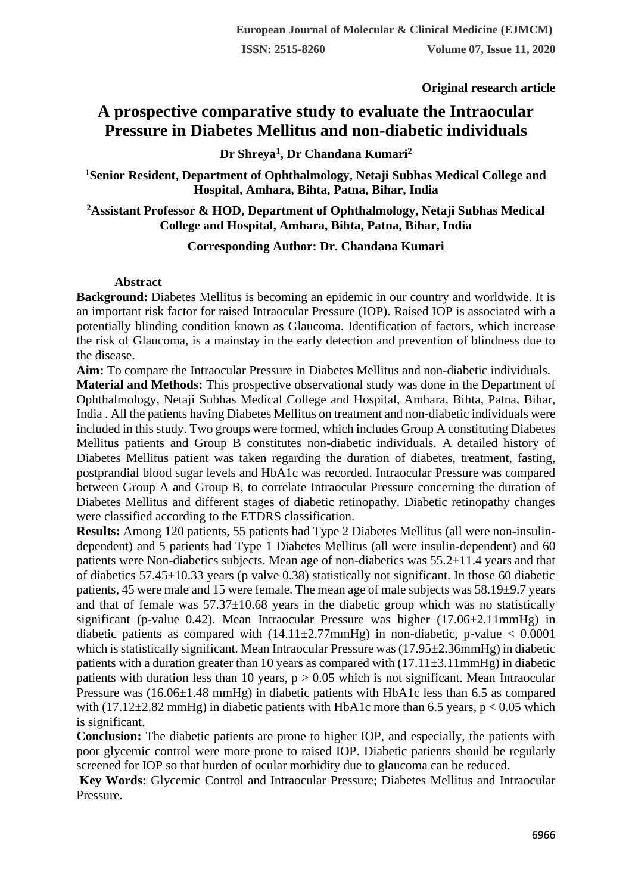**Original research article** 

# **A prospective comparative study to evaluate the Intraocular Pressure in Diabetes Mellitus and non-diabetic individuals**

**Dr Shreya<sup>1</sup> , Dr Chandana Kumari<sup>2</sup>**

**<sup>1</sup>Senior Resident, Department of Ophthalmology, Netaji Subhas Medical College and Hospital, Amhara, Bihta, Patna, Bihar, India**

**<sup>2</sup>Assistant Professor & HOD, Department of Ophthalmology, Netaji Subhas Medical College and Hospital, Amhara, Bihta, Patna, Bihar, India**

# **Corresponding Author: Dr. Chandana Kumari**

#### **Abstract**

**Background:** Diabetes Mellitus is becoming an epidemic in our country and worldwide. It is an important risk factor for raised Intraocular Pressure (IOP). Raised IOP is associated with a potentially blinding condition known as Glaucoma. Identification of factors, which increase the risk of Glaucoma, is a mainstay in the early detection and prevention of blindness due to the disease.

**Aim:** To compare the Intraocular Pressure in Diabetes Mellitus and non-diabetic individuals.

**Material and Methods:** This prospective observational study was done in the Department of Ophthalmology, Netaji Subhas Medical College and Hospital, Amhara, Bihta, Patna, Bihar, India . All the patients having Diabetes Mellitus on treatment and non-diabetic individuals were included in this study. Two groups were formed, which includes Group A constituting Diabetes Mellitus patients and Group B constitutes non-diabetic individuals. A detailed history of Diabetes Mellitus patient was taken regarding the duration of diabetes, treatment, fasting, postprandial blood sugar levels and HbA1c was recorded. Intraocular Pressure was compared between Group A and Group B, to correlate Intraocular Pressure concerning the duration of Diabetes Mellitus and different stages of diabetic retinopathy. Diabetic retinopathy changes were classified according to the ETDRS classification.

**Results:** Among 120 patients, 55 patients had Type 2 Diabetes Mellitus (all were non-insulindependent) and 5 patients had Type 1 Diabetes Mellitus (all were insulin-dependent) and 60 patients were Non-diabetics subjects. Mean age of non-diabetics was 55.2±11.4 years and that of diabetics 57.45±10.33 years (p valve 0.38) statistically not significant. In those 60 diabetic patients, 45 were male and 15 were female. The mean age of male subjects was 58.19±9.7 years and that of female was  $57.37\pm10.68$  years in the diabetic group which was no statistically significant (p-value 0.42). Mean Intraocular Pressure was higher (17.06±2.11mmHg) in diabetic patients as compared with  $(14.11 \pm 2.77$ mmHg) in non-diabetic, p-value  $< 0.0001$ which is statistically significant. Mean Intraocular Pressure was  $(17.95\pm 2.36$ mmHg) in diabetic patients with a duration greater than 10 years as compared with  $(17.11\pm3.11$ mmHg) in diabetic patients with duration less than 10 years,  $p > 0.05$  which is not significant. Mean Intraocular Pressure was (16.06±1.48 mmHg) in diabetic patients with HbA1c less than 6.5 as compared with  $(17.12\pm 2.82 \text{ mmHg})$  in diabetic patients with HbA1c more than 6.5 years, p < 0.05 which is significant.

**Conclusion:** The diabetic patients are prone to higher IOP, and especially, the patients with poor glycemic control were more prone to raised IOP. Diabetic patients should be regularly screened for IOP so that burden of ocular morbidity due to glaucoma can be reduced.

**Key Words:** Glycemic Control and Intraocular Pressure; Diabetes Mellitus and Intraocular Pressure.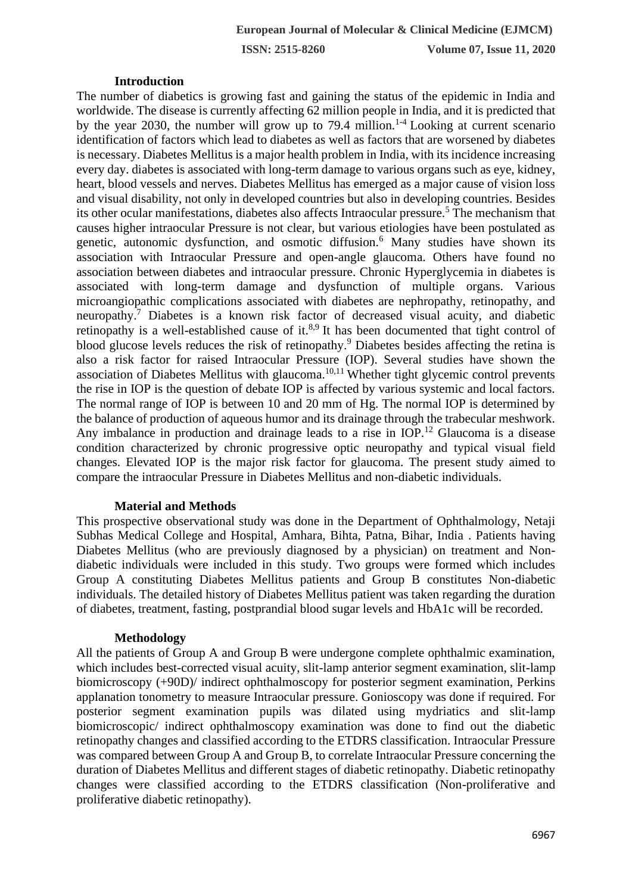#### **Introduction**

The number of diabetics is growing fast and gaining the status of the epidemic in India and worldwide. The disease is currently affecting 62 million people in India, and it is predicted that by the year 2030, the number will grow up to 79.4 million.<sup>1-4</sup> Looking at current scenario identification of factors which lead to diabetes as well as factors that are worsened by diabetes is necessary. Diabetes Mellitus is a major health problem in India, with its incidence increasing every day. diabetes is associated with long-term damage to various organs such as eye, kidney, heart, blood vessels and nerves. Diabetes Mellitus has emerged as a major cause of vision loss and visual disability, not only in developed countries but also in developing countries. Besides its other ocular manifestations, diabetes also affects Intraocular pressure.<sup>5</sup> The mechanism that causes higher intraocular Pressure is not clear, but various etiologies have been postulated as genetic, autonomic dysfunction, and osmotic diffusion.<sup>6</sup> Many studies have shown its association with Intraocular Pressure and open-angle glaucoma. Others have found no association between diabetes and intraocular pressure. Chronic Hyperglycemia in diabetes is associated with long-term damage and dysfunction of multiple organs. Various microangiopathic complications associated with diabetes are nephropathy, retinopathy, and neuropathy.<sup>7</sup> Diabetes is a known risk factor of decreased visual acuity, and diabetic retinopathy is a well-established cause of it. $8.9$  It has been documented that tight control of blood glucose levels reduces the risk of retinopathy.<sup>9</sup> Diabetes besides affecting the retina is also a risk factor for raised Intraocular Pressure (IOP). Several studies have shown the association of Diabetes Mellitus with glaucoma.<sup>10,11</sup> Whether tight glycemic control prevents the rise in IOP is the question of debate IOP is affected by various systemic and local factors. The normal range of IOP is between 10 and 20 mm of Hg. The normal IOP is determined by the balance of production of aqueous humor and its drainage through the trabecular meshwork. Any imbalance in production and drainage leads to a rise in IOP.<sup>12</sup> Glaucoma is a disease condition characterized by chronic progressive optic neuropathy and typical visual field changes. Elevated IOP is the major risk factor for glaucoma. The present study aimed to compare the intraocular Pressure in Diabetes Mellitus and non-diabetic individuals.

#### **Material and Methods**

This prospective observational study was done in the Department of Ophthalmology, Netaji Subhas Medical College and Hospital, Amhara, Bihta, Patna, Bihar, India . Patients having Diabetes Mellitus (who are previously diagnosed by a physician) on treatment and Nondiabetic individuals were included in this study. Two groups were formed which includes Group A constituting Diabetes Mellitus patients and Group B constitutes Non-diabetic individuals. The detailed history of Diabetes Mellitus patient was taken regarding the duration of diabetes, treatment, fasting, postprandial blood sugar levels and HbA1c will be recorded.

#### **Methodology**

All the patients of Group A and Group B were undergone complete ophthalmic examination, which includes best-corrected visual acuity, slit-lamp anterior segment examination, slit-lamp biomicroscopy (+90D)/ indirect ophthalmoscopy for posterior segment examination, Perkins applanation tonometry to measure Intraocular pressure. Gonioscopy was done if required. For posterior segment examination pupils was dilated using mydriatics and slit-lamp biomicroscopic/ indirect ophthalmoscopy examination was done to find out the diabetic retinopathy changes and classified according to the ETDRS classification. Intraocular Pressure was compared between Group A and Group B, to correlate Intraocular Pressure concerning the duration of Diabetes Mellitus and different stages of diabetic retinopathy. Diabetic retinopathy changes were classified according to the ETDRS classification (Non-proliferative and proliferative diabetic retinopathy).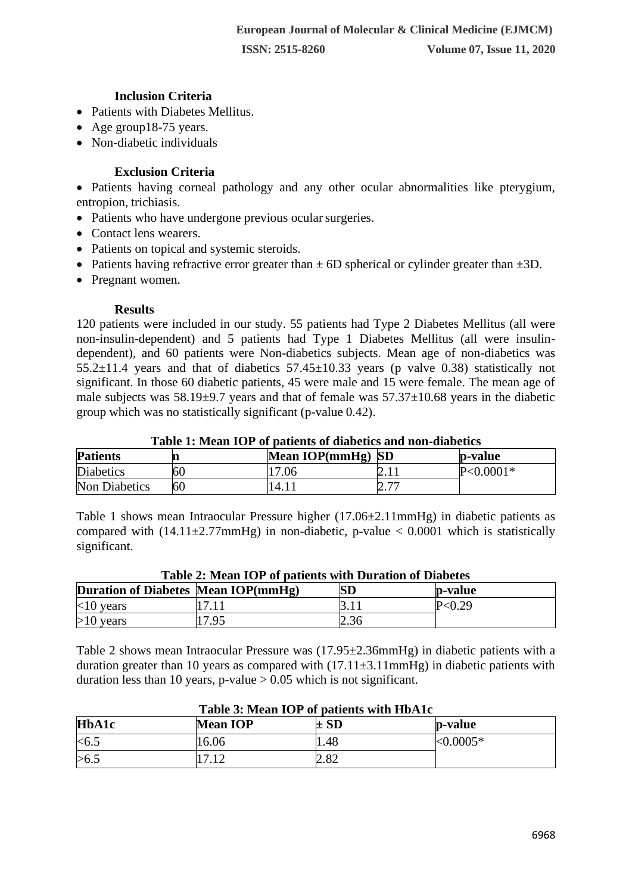### **Inclusion Criteria**

- Patients with Diabetes Mellitus.
- Age group18-75 years.
- Non-diabetic individuals

# **Exclusion Criteria**

• Patients having corneal pathology and any other ocular abnormalities like pterygium, entropion, trichiasis.

- Patients who have undergone previous ocular surgeries.
- Contact lens wearers.
- Patients on topical and systemic steroids.
- Patients having refractive error greater than  $\pm$  6D spherical or cylinder greater than  $\pm$ 3D.
- Pregnant women.

#### **Results**

120 patients were included in our study. 55 patients had Type 2 Diabetes Mellitus (all were non-insulin-dependent) and 5 patients had Type 1 Diabetes Mellitus (all were insulindependent), and 60 patients were Non-diabetics subjects. Mean age of non-diabetics was  $55.2\pm11.4$  years and that of diabetics  $57.45\pm10.33$  years (p valve 0.38) statistically not significant. In those 60 diabetic patients, 45 were male and 15 were female. The mean age of male subjects was  $58.19\pm9.7$  years and that of female was  $57.37\pm10.68$  years in the diabetic group which was no statistically significant (p-value 0.42).

#### **Table 1: Mean IOP of patients of diabetics and non-diabetics**

| <b>Patients</b>  |    | Mean IOP( $mmHg$ ) SD |                                         | p-value       |
|------------------|----|-----------------------|-----------------------------------------|---------------|
| <b>Diabetics</b> | 60 | 17.06                 | $\mathcal{L}$ . I I                     | $P < 0.0001*$ |
| Non Diabetics    | 60 | 14.1 <sub>1</sub>     | $\overline{ }$<br>$\angle$ . $\sqrt{ }$ |               |

Table 1 shows mean Intraocular Pressure higher (17.06±2.11mmHg) in diabetic patients as compared with  $(14.11 \pm 2.77$ mmHg) in non-diabetic, p-value  $< 0.0001$  which is statistically significant.

| Duration of Diabetes Mean IOP(mmHg) |      | <b>SD</b> | p-value |  |
|-------------------------------------|------|-----------|---------|--|
| $<10$ years                         |      |           | P<0.29  |  |
| $>10$ years                         | 7.95 | 2.36      |         |  |

# **Table 2: Mean IOP of patients with Duration of Diabetes**

Table 2 shows mean Intraocular Pressure was (17.95±2.36mmHg) in diabetic patients with a duration greater than 10 years as compared with  $(17.11\pm3.11$ mmHg) in diabetic patients with duration less than 10 years, p-value  $> 0.05$  which is not significant.

| <b>HbA1c</b> | <b>Mean IOP</b> | $\pm$ SD | p-value      |
|--------------|-----------------|----------|--------------|
| < 6.5        | 16.06           | 1.48     | ${<}0.0005*$ |
| >6.1         | 710             | 2.82     |              |

# **Table 3: Mean IOP of patients with HbA1c**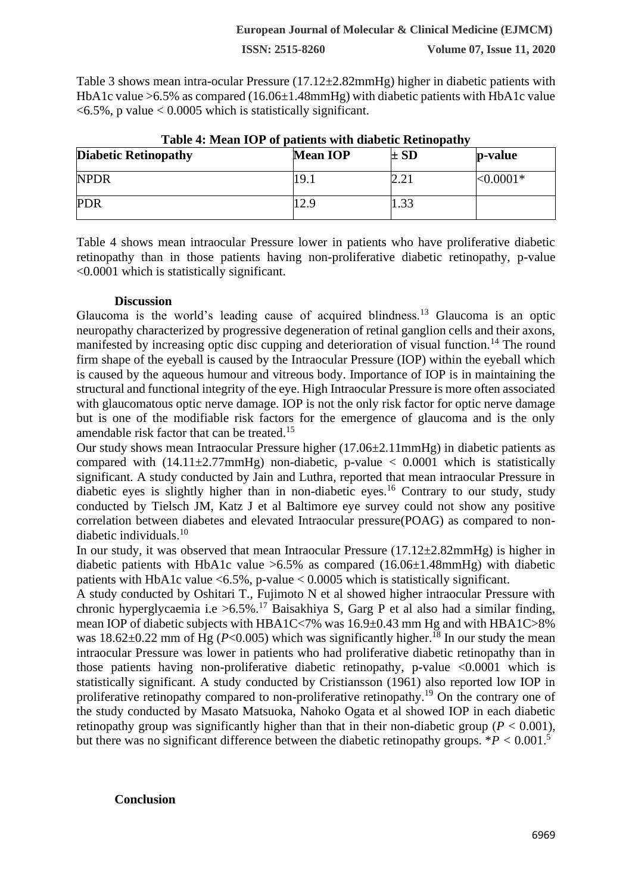## **ISSN: 2515-8260 Volume 07, Issue 11, 2020**

Table 3 shows mean intra-ocular Pressure (17.12±2.82mmHg) higher in diabetic patients with HbA1c value >6.5% as compared (16.06±1.48mmHg) with diabetic patients with HbA1c value  $\langle 6.5\%$ , p value  $\langle 0.0005 \text{ which is statistically significant.} \rangle$ 

| <b>Diabetic Retinopathy</b> | <b>Mean IOP</b>  | $\pm SD$ | p-value     |
|-----------------------------|------------------|----------|-------------|
| <b>NPDR</b>                 | 19.1             |          | $<,0.0001*$ |
| <b>PDR</b>                  | $\overline{2.9}$ |          |             |

# **Table 4: Mean IOP of patients with diabetic Retinopathy**

Table 4 shows mean intraocular Pressure lower in patients who have proliferative diabetic retinopathy than in those patients having non-proliferative diabetic retinopathy, p-value <0.0001 which is statistically significant.

#### **Discussion**

Glaucoma is the world's leading cause of acquired blindness.<sup>13</sup> Glaucoma is an optic neuropathy characterized by progressive degeneration of retinal ganglion cells and their axons, manifested by increasing optic disc cupping and deterioration of visual function.<sup>14</sup> The round firm shape of the eyeball is caused by the Intraocular Pressure (IOP) within the eyeball which is caused by the aqueous humour and vitreous body. Importance of IOP is in maintaining the structural and functional integrity of the eye. High Intraocular Pressure is more often associated with glaucomatous optic nerve damage. IOP is not the only risk factor for optic nerve damage but is one of the modifiable risk factors for the emergence of glaucoma and is the only amendable risk factor that can be treated.<sup>15</sup>

Our study shows mean Intraocular Pressure higher (17.06±2.11mmHg) in diabetic patients as compared with  $(14.11 \pm 2.77$ mmHg) non-diabetic, p-value  $\lt 0.0001$  which is statistically significant. A study conducted by Jain and Luthra, reported that mean intraocular Pressure in diabetic eyes is slightly higher than in non-diabetic eyes.<sup>16</sup> Contrary to our study, study conducted by Tielsch JM, Katz J et al Baltimore eye survey could not show any positive correlation between diabetes and elevated Intraocular pressure(POAG) as compared to nondiabetic individuals.<sup>10</sup>

In our study, it was observed that mean Intraocular Pressure (17.12±2.82mmHg) is higher in diabetic patients with HbA1c value  $>6.5\%$  as compared (16.06 $\pm$ 1.48mmHg) with diabetic patients with HbA1c value  $\langle 6.5\%$ , p-value  $\langle 0.0005 \text{ which is statistically significant.} \rangle$ 

A study conducted by Oshitari T., Fujimoto N et al showed higher intraocular Pressure with chronic hyperglycaemia i.e >6.5%.<sup>17</sup> Baisakhiya S, Garg P et al also had a similar finding, mean IOP of diabetic subjects with HBA1C<7% was 16.9±0.43 mm Hg and with HBA1C>8% was  $18.62\pm0.22$  mm of Hg (*P*<0.005) which was significantly higher.<sup>18</sup> In our study the mean intraocular Pressure was lower in patients who had proliferative diabetic retinopathy than in those patients having non-proliferative diabetic retinopathy, p-value  $\leq 0.0001$  which is statistically significant. A study conducted by Cristiansson (1961) also reported low IOP in proliferative retinopathy compared to non-proliferative retinopathy.<sup>19</sup> On the contrary one of the study conducted by Masato Matsuoka, Nahoko Ogata et al showed IOP in each diabetic retinopathy group was significantly higher than that in their non-diabetic group ( $P < 0.001$ ). but there was no significant difference between the diabetic retinopathy groups.  $*P < 0.001$ .<sup>5</sup>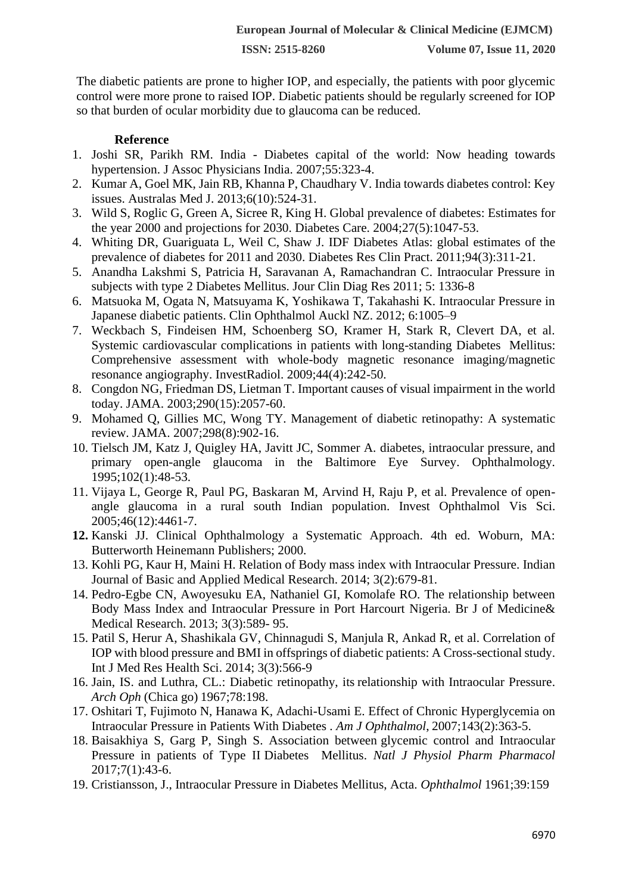The diabetic patients are prone to higher IOP, and especially, the patients with poor glycemic control were more prone to raised IOP. Diabetic patients should be regularly screened for IOP so that burden of ocular morbidity due to glaucoma can be reduced.

# **Reference**

- 1. Joshi SR, Parikh RM. India Diabetes capital of the world: Now heading towards hypertension. J Assoc Physicians India. 2007;55:323-4.
- 2. Kumar A, Goel MK, Jain RB, Khanna P, Chaudhary V. India towards diabetes control: Key issues. Australas Med J. 2013;6(10):524-31.
- 3. Wild S, Roglic G, Green A, Sicree R, King H. Global prevalence of diabetes: Estimates for the year 2000 and projections for 2030. Diabetes Care. 2004;27(5):1047-53.
- 4. Whiting DR, Guariguata L, Weil C, Shaw J. IDF Diabetes Atlas: global estimates of the prevalence of diabetes for 2011 and 2030. Diabetes Res Clin Pract. 2011;94(3):311-21.
- 5. Anandha Lakshmi S, Patricia H, Saravanan A, Ramachandran C. Intraocular Pressure in subjects with type 2 Diabetes Mellitus. Jour Clin Diag Res 2011; 5: 1336-8
- 6. Matsuoka M, Ogata N, Matsuyama K, Yoshikawa T, Takahashi K. Intraocular Pressure in Japanese diabetic patients. Clin Ophthalmol Auckl NZ. 2012; 6:1005–9
- 7. Weckbach S, Findeisen HM, Schoenberg SO, Kramer H, Stark R, Clevert DA, et al. Systemic cardiovascular complications in patients with long-standing Diabetes Mellitus: Comprehensive assessment with whole-body magnetic resonance imaging/magnetic resonance angiography. InvestRadiol. 2009;44(4):242-50.
- 8. Congdon NG, Friedman DS, Lietman T. Important causes of visual impairment in the world today. JAMA. 2003;290(15):2057-60.
- 9. Mohamed Q, Gillies MC, Wong TY. Management of diabetic retinopathy: A systematic review. JAMA. 2007;298(8):902-16.
- 10. Tielsch JM, Katz J, Quigley HA, Javitt JC, Sommer A. diabetes, intraocular pressure, and primary open-angle glaucoma in the Baltimore Eye Survey. Ophthalmology. 1995;102(1):48-53.
- 11. Vijaya L, George R, Paul PG, Baskaran M, Arvind H, Raju P, et al. Prevalence of openangle glaucoma in a rural south Indian population. Invest Ophthalmol Vis Sci. 2005;46(12):4461-7.
- **12.** Kanski JJ. Clinical Ophthalmology a Systematic Approach. 4th ed. Woburn, MA: Butterworth Heinemann Publishers; 2000.
- 13. Kohli PG, Kaur H, Maini H. Relation of Body mass index with Intraocular Pressure. Indian Journal of Basic and Applied Medical Research. 2014; 3(2):679-81.
- 14. Pedro-Egbe CN, Awoyesuku EA, Nathaniel GI, Komolafe RO. The relationship between Body Mass Index and Intraocular Pressure in Port Harcourt Nigeria. Br J of Medicine& Medical Research. 2013; 3(3):589- 95.
- 15. Patil S, Herur A, Shashikala GV, Chinnagudi S, Manjula R, Ankad R, et al. Correlation of IOP with blood pressure and BMI in offsprings of diabetic patients: A Cross-sectional study. Int J Med Res Health Sci. 2014; 3(3):566-9
- 16. Jain, IS. and Luthra, CL.: Diabetic retinopathy, its relationship with Intraocular Pressure. *Arch Oph* (Chica go) 1967;78:198.
- 17. Oshitari T, Fujimoto N, Hanawa K, Adachi-Usami E. Effect of Chronic Hyperglycemia on Intraocular Pressure in Patients With Diabetes . *Am J Ophthalmol*, 2007;143(2):363-5.
- 18. Baisakhiya S, Garg P, Singh S. Association between glycemic control and Intraocular Pressure in patients of Type II Diabetes Mellitus. *Natl J Physiol Pharm Pharmacol* 2017;7(1):43-6.
- 19. Cristiansson, J., Intraocular Pressure in Diabetes Mellitus, Acta. *Ophthalmol* 1961;39:159